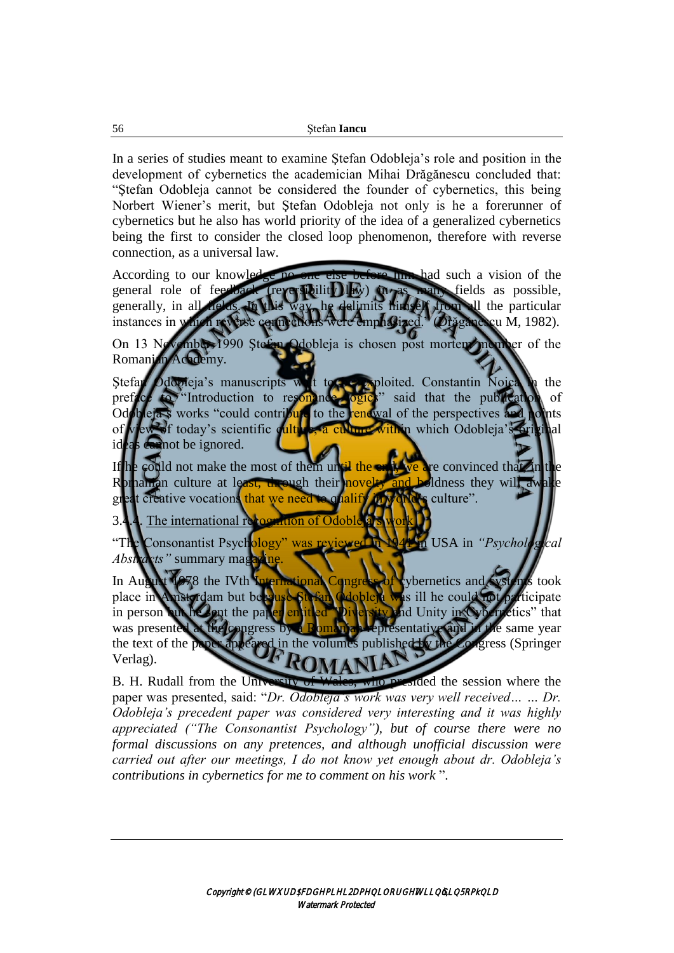In a series of studies meant to examine Ştefan Odobleja's role and position in the development of cybernetics the academician Mihai Drăgănescu concluded that: "Ştefan Odobleja cannot be considered the founder of cybernetics, this being Norbert Wiener's merit, but Ştefan Odobleja not only is he a forerunner of cybernetics but he also has world priority of the idea of a generalized cybernetics being the first to consider the closed loop phenomenon, therefore with reverse connection, as a universal law.

According to our knowledge no one else before him had such a vision of the general role of feedback (reversibility law) in as many fields as possible, generally, in all fields. In this way, he delimits himself from all the particular instances in which reverse connections were emphasized." (Drăgănescu M, 1982).

On 13 November 1990 Ştefan Odobleja is chosen post mortem member of the Romanian Academy.

Stefan Odobieja's manuscripts with to be exploited. Constantin Noica in the preface to "Introduction to resonance logics" said that the publication of Odobleja's works "could contribute to the renewal of the perspectives and points of view of today's scientific culture, a culture within which Odobleja's original ideas cannot be ignored.

If he could not make the most of them until the ends, we are convinced that in the Romanian culture at least, through their novelty and boldness they will awake great creative vocations that we need to qualify in world's culture".

 $3.4.4$ . The international re

"The Consonantist Psychology" was reviewed in 1941 in USA in *"Psychological Abstracts*" summary maga

In August 1978 the IVth International Congress of evbernetics and systems took place in Amsterdam but because Stefan Odobleja was ill he could not participate in person but he sent the paper entitled "Diversity and Unity in Cybernetics" that was presented at the congress by a Romanian representative and in the same year the text of the paper appeared in the volumes published by the Congress (Springer Verlag).

B. H. Rudall from the University of Wales, who presided the session where the paper was presented, said: "*Dr. Odobleja's work was very well received… … Dr. Odobleja's precedent paper was considered very interesting and it was highly appreciated ("The Consonantist Psychology"), but of course there were no formal discussions on any pretences, and although unofficial discussion were carried out after our meetings, I do not know yet enough about dr. Odobleja's contributions in cybernetics for me to comment on his work* ".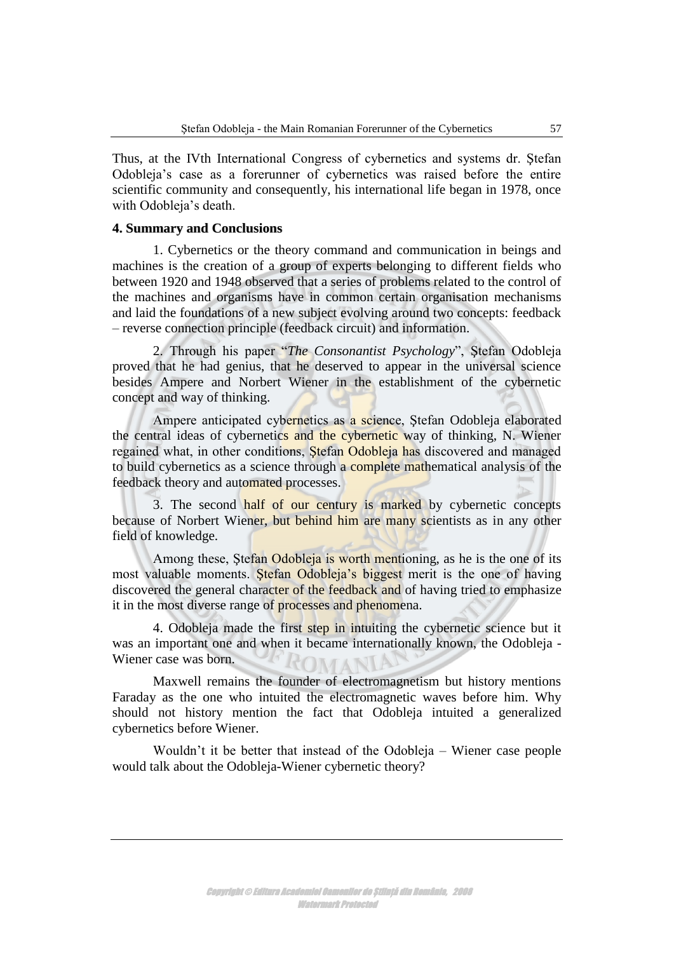Thus, at the IVth International Congress of cybernetics and systems dr. Ştefan Odobleja's case as a forerunner of cybernetics was raised before the entire scientific community and consequently, his international life began in 1978, once with Odobleja's death.

## **4. Summary and Conclusions**

1. Cybernetics or the theory command and communication in beings and machines is the creation of a group of experts belonging to different fields who between 1920 and 1948 observed that a series of problems related to the control of the machines and organisms have in common certain organisation mechanisms and laid the foundations of a new subject evolving around two concepts: feedback – reverse connection principle (feedback circuit) and information.

2. Through his paper "*The Consonantist Psychology*", Ştefan Odobleja proved that he had genius, that he deserved to appear in the universal science besides Ampere and Norbert Wiener in the establishment of the cybernetic concept and way of thinking.

Ampere anticipated cybernetics as a science, Ştefan Odobleja elaborated the central ideas of cybernetics and the cybernetic way of thinking, N. Wiener regained what, in other conditions, Stefan Odobleja has discovered and managed to build cybernetics as a science through a complete mathematical analysis of the feedback theory and automated processes.

3. The second half of our century is marked by cybernetic concepts because of Norbert Wiener, but behind him are many scientists as in any other field of knowledge.

Among these, Stefan Odobleja is worth mentioning, as he is the one of its most valuable moments. Stefan Odobleja's biggest merit is the one of having discovered the general character of the feedback and of having tried to emphasize it in the most diverse range of processes and phenomena.

4. Odobleja made the first step in intuiting the cybernetic science but it was an important one and when it became internationally known, the Odobleja - Wiener case was born.

Maxwell remains the founder of electromagnetism but history mentions Faraday as the one who intuited the electromagnetic waves before him. Why should not history mention the fact that Odobleja intuited a generalized cybernetics before Wiener.

Wouldn't it be better that instead of the Odobleja – Wiener case people would talk about the Odobleja-Wiener cybernetic theory?